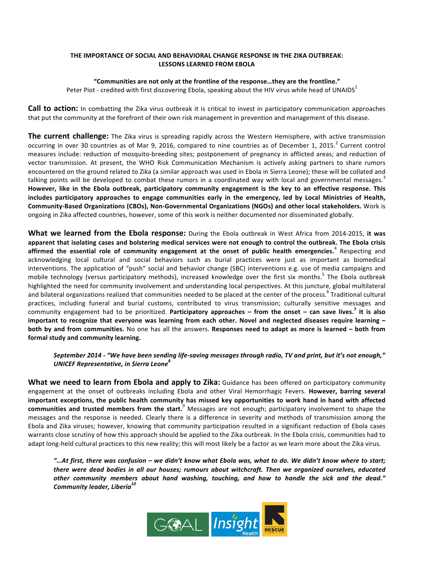#### **THE IMPORTANCE OF SOCIAL AND BEHAVIORAL CHANGE RESPONSE IN THE ZIKA OUTBREAK: LESSONS LEARNED FROM EBOLA**

## "Communities are not only at the frontline of the response...they are the frontline."

Peter Piot - credited with first discovering Ebola, speaking about the HIV virus while head of UNAIDS<sup>1</sup>

**Call to action:** In combatting the Zika virus outbreak it is critical to invest in participatory communication approaches that put the community at the forefront of their own risk management in prevention and management of this disease.

**The current challenge:** The Zika virus is spreading rapidly across the Western Hemisphere, with active transmission occurring in over 30 countries as of Mar 9, 2016, compared to nine countries as of December 1, 2015.<sup>2</sup> Current control measures include: reduction of mosquito-breeding sites; postponement of pregnancy in afflicted areas; and reduction of vector transmission. At present, the WHO Risk Communication Mechanism is actively asking partners to share rumors encountered on the ground related to Zika (a similar approach was used in Ebola in Sierra Leone); these will be collated and talking points will be developed to combat these rumors in a coordinated way with local and governmental messages.<sup>3</sup> However, like in the Ebola outbreak, participatory community engagement is the key to an effective response. This **includes participatory approaches to engage communities early in the emergency, led by Local Ministries of Health, Community-Based Organizations (CBOs), Non-Governmental Organizations (NGOs) and other local stakeholders.** Work is ongoing in Zika affected countries, however, some of this work is neither documented nor disseminated globally.

**What we learned from the Ebola response:** During the Ebola outbreak in West Africa from 2014-2015, it was apparent that isolating cases and bolstering medical services were not enough to control the outbreak. The Ebola crisis affirmed the essential role of community engagement at the onset of public health emergencies.<sup>4</sup> Respecting and acknowledging local cultural and social behaviors such as burial practices were just as important as biomedical interventions. The application of "push" social and behavior change (SBC) interventions e.g. use of media campaigns and mobile technology (versus participatory methods), increased knowledge over the first six months.<sup>5</sup> The Ebola outbreak highlighted the need for community involvement and understanding local perspectives. At this juncture, global multilateral and bilateral organizations realized that communities needed to be placed at the center of the process.  $^6$  Traditional cultural practices, including funeral and burial customs, contributed to virus transmission; culturally sensitive messages and community engagement had to be prioritized. Participatory approaches – from the onset – can save lives.<sup>7</sup> It is also important to recognize that everyone was learning from each other. Novel and neglected diseases require learning **both by and from communities.** No one has all the answers. Responses need to adapt as more is learned – both from **formal study and community learning.**

## September 2014 - "We have been sending life-saving messages through radio, TV and print, but it's not enough," *UNICEF Representative, in Sierra Leone<sup>8</sup>*

**What we need to learn from Ebola and apply to Zika:** Guidance has been offered on participatory community engagement at the onset of outbreaks including Ebola and other Viral Hemorrhagic Fevers. However, barring several important exceptions, the public health community has missed key opportunities to work hand in hand with affected communities and trusted members from the start.<sup>9</sup> Messages are not enough; participatory involvement to shape the messages and the response is needed. Clearly there is a difference in severity and methods of transmission among the Ebola and Zika viruses; however, knowing that community participation resulted in a significant reduction of Ebola cases warrants close scrutiny of how this approach should be applied to the Zika outbreak. In the Ebola crisis, communities had to adapt long-held cultural practices to this new reality; this will most likely be a factor as we learn more about the Zika virus.

*"…At first, there was confusion – we didn't know what Ebola was, what to do. We didn't know where to start;*  there were dead bodies in all our houses; rumours about witchcraft. Then we organized ourselves, educated other community members about hand washing, touching, and how to handle the sick and the dead." *Community leader, Liberia10*

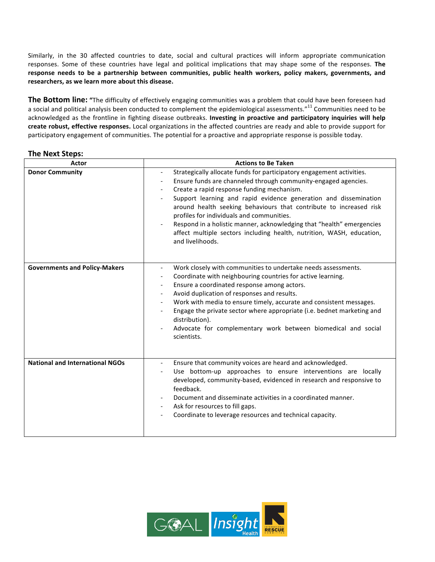Similarly, in the 30 affected countries to date, social and cultural practices will inform appropriate communication responses. Some of these countries have legal and political implications that may shape some of the responses. The response needs to be a partnership between communities, public health workers, policy makers, governments, and researchers, as we learn more about this disease.

**The Bottom line:** "The difficulty of effectively engaging communities was a problem that could have been foreseen had a social and political analysis been conducted to complement the epidemiological assessments."<sup>11</sup> Communities need to be acknowledged as the frontline in fighting disease outbreaks. Investing in proactive and participatory inquiries will help create robust, effective responses. Local organizations in the affected countries are ready and able to provide support for participatory engagement of communities. The potential for a proactive and appropriate response is possible today.

# **The Next Steps:**

| Actor                                  | <b>Actions to Be Taken</b>                                                                                                                                                                                                                                                                                                                                                                                                                                                                                                                                                                                 |
|----------------------------------------|------------------------------------------------------------------------------------------------------------------------------------------------------------------------------------------------------------------------------------------------------------------------------------------------------------------------------------------------------------------------------------------------------------------------------------------------------------------------------------------------------------------------------------------------------------------------------------------------------------|
| <b>Donor Community</b>                 | Strategically allocate funds for participatory engagement activities.<br>$\overline{\phantom{a}}$<br>Ensure funds are channeled through community-engaged agencies.<br>$\overline{\phantom{a}}$<br>Create a rapid response funding mechanism.<br>Support learning and rapid evidence generation and dissemination<br>around health seeking behaviours that contribute to increased risk<br>profiles for individuals and communities.<br>Respond in a holistic manner, acknowledging that "health" emergencies<br>affect multiple sectors including health, nutrition, WASH, education,<br>and livelihoods. |
| <b>Governments and Policy-Makers</b>   | Work closely with communities to undertake needs assessments.<br>$\overline{\phantom{a}}$<br>Coordinate with neighbouring countries for active learning.<br>Ensure a coordinated response among actors.<br>Avoid duplication of responses and results.<br>$\overline{\phantom{a}}$<br>Work with media to ensure timely, accurate and consistent messages.<br>$\overline{\phantom{a}}$<br>Engage the private sector where appropriate (i.e. bednet marketing and<br>distribution).<br>Advocate for complementary work between biomedical and social<br>scientists.                                          |
| <b>National and International NGOs</b> | Ensure that community voices are heard and acknowledged.<br>$\overline{\phantom{a}}$<br>Use bottom-up approaches to ensure interventions are locally<br>$\overline{\phantom{a}}$<br>developed, community-based, evidenced in research and responsive to<br>feedback.<br>Document and disseminate activities in a coordinated manner.<br>Ask for resources to fill gaps.<br>Coordinate to leverage resources and technical capacity.                                                                                                                                                                        |